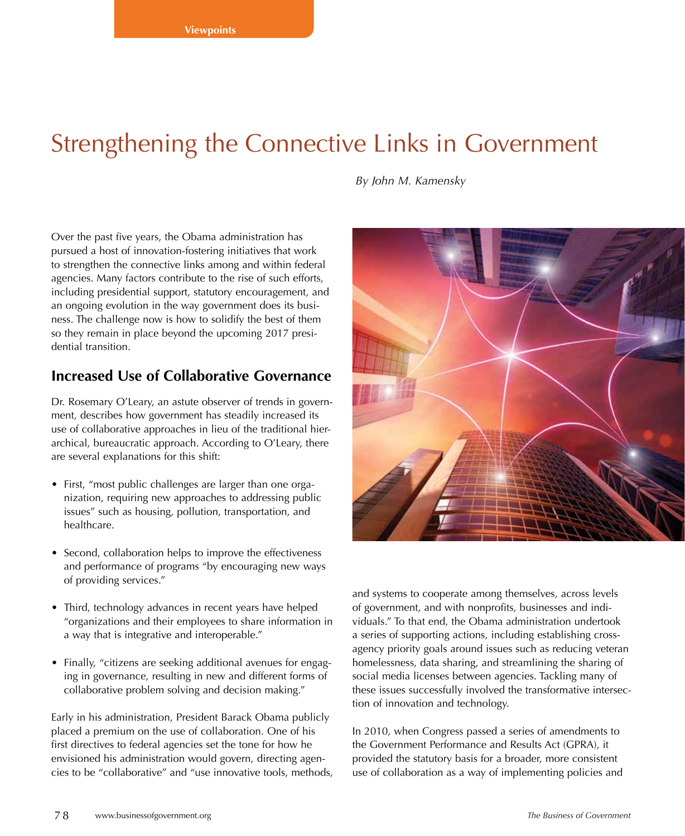# Strengthening the Connective Links in Government

*By John M. Kamensky*

Over the past five years, the Obama administration has pursued a host of innovation-fostering initiatives that work to strengthen the connective links among and within federal agencies. Many factors contribute to the rise of such efforts, including presidential support, statutory encouragement, and an ongoing evolution in the way government does its business. The challenge now is how to solidify the best of them so they remain in place beyond the upcoming 2017 presidential transition.

### **Increased Use of Collaborative Governance**

Dr. Rosemary O'Leary, an astute observer of trends in government, describes how government has steadily increased its use of collaborative approaches in lieu of the traditional hierarchical, bureaucratic approach. According to O'Leary, there are several explanations for this shift:

- First, "most public challenges are larger than one organization, requiring new approaches to addressing public issues" such as housing, pollution, transportation, and healthcare.
- Second, collaboration helps to improve the effectiveness and performance of programs "by encouraging new ways of providing services."
- Third, technology advances in recent years have helped "organizations and their employees to share information in a way that is integrative and interoperable."
- Finally, "citizens are seeking additional avenues for engaging in governance, resulting in new and different forms of collaborative problem solving and decision making."

Early in his administration, President Barack Obama publicly placed a premium on the use of collaboration. One of his first directives to federal agencies set the tone for how he envisioned his administration would govern, directing agencies to be "collaborative" and "use innovative tools, methods,



and systems to cooperate among themselves, across levels of government, and with nonprofits, businesses and individuals." To that end, the Obama administration undertook a series of supporting actions, including establishing crossagency priority goals around issues such as reducing veteran homelessness, data sharing, and streamlining the sharing of social media licenses between agencies. Tackling many of these issues successfully involved the transformative intersection of innovation and technology.

In 2010, when Congress passed a series of amendments to the Government Performance and Results Act (GPRA), it provided the statutory basis for a broader, more consistent use of collaboration as a way of implementing policies and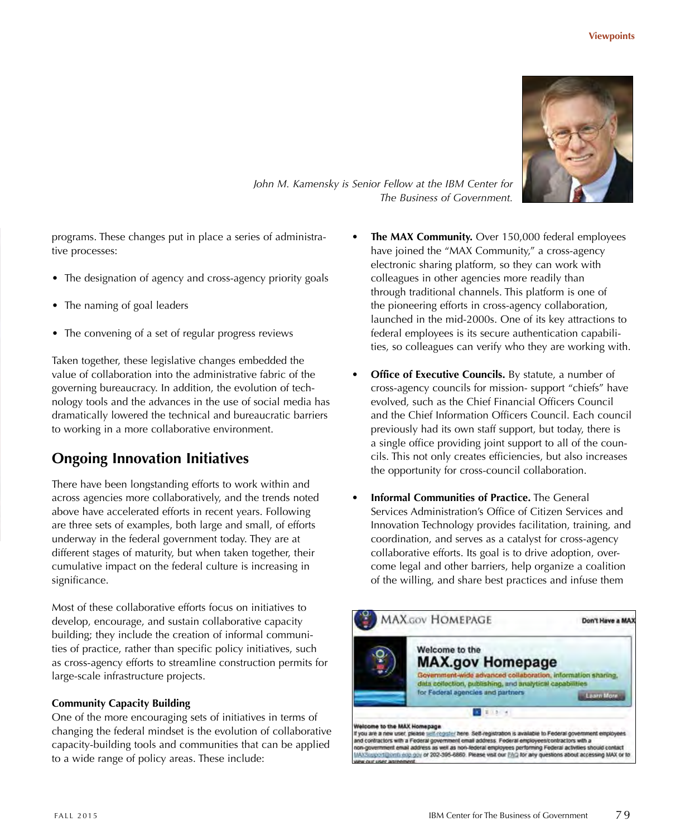

*John M. Kamensky is Senior Fellow at the IBM Center for The Business of Government.*

programs. These changes put in place a series of administrative processes:

- The designation of agency and cross-agency priority goals
- The naming of goal leaders
- The convening of a set of regular progress reviews

Taken together, these legislative changes embedded the value of collaboration into the administrative fabric of the governing bureaucracy. In addition, the evolution of technology tools and the advances in the use of social media has dramatically lowered the technical and bureaucratic barriers to working in a more collaborative environment.

## **Ongoing Innovation Initiatives**

There have been longstanding efforts to work within and across agencies more collaboratively, and the trends noted above have accelerated efforts in recent years. Following are three sets of examples, both large and small, of efforts underway in the federal government today. They are at different stages of maturity, but when taken together, their cumulative impact on the federal culture is increasing in significance.

Most of these collaborative efforts focus on initiatives to develop, encourage, and sustain collaborative capacity building; they include the creation of informal communities of practice, rather than specific policy initiatives, such as cross-agency efforts to streamline construction permits for large-scale infrastructure projects.

#### **Community Capacity Building**

One of the more encouraging sets of initiatives in terms of changing the federal mindset is the evolution of collaborative capacity-building tools and communities that can be applied to a wide range of policy areas. These include:

- **The MAX Community.** Over 150,000 federal employees have joined the "MAX Community," a cross-agency electronic sharing platform, so they can work with colleagues in other agencies more readily than through traditional channels. This platform is one of the pioneering efforts in cross-agency collaboration, launched in the mid-2000s. One of its key attractions to federal employees is its secure authentication capabilities, so colleagues can verify who they are working with.
- **Office of Executive Councils.** By statute, a number of cross-agency councils for mission- support "chiefs" have evolved, such as the Chief Financial Officers Council and the Chief Information Officers Council. Each council previously had its own staff support, but today, there is a single office providing joint support to all of the councils. This not only creates efficiencies, but also increases the opportunity for cross-council collaboration.
- **Informal Communities of Practice.** The General Services Administration's Office of Citizen Services and Innovation Technology provides facilitation, training, and coordination, and serves as a catalyst for cross-agency collaborative efforts. Its goal is to drive adoption, overcome legal and other barriers, help organize a coalition of the willing, and share best practices and infuse them

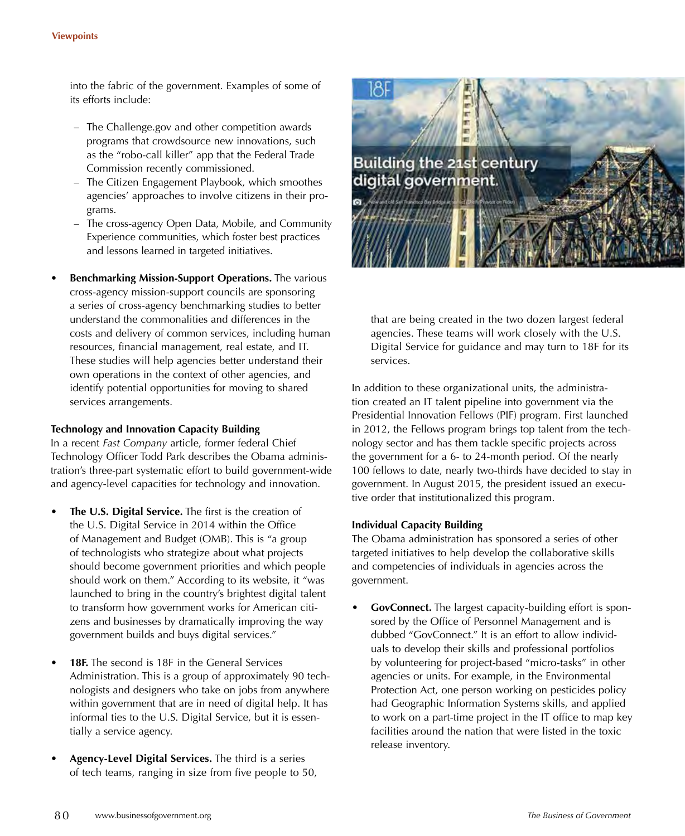into the fabric of the government. Examples of some of its efforts include:

- The Challenge.gov and other competition awards programs that crowdsource new innovations, such as the "robo-call killer" app that the Federal Trade Commission recently commissioned.
- The Citizen Engagement Playbook, which smoothes agencies' approaches to involve citizens in their programs.
- The cross-agency Open Data, Mobile, and Community Experience communities, which foster best practices and lessons learned in targeted initiatives.
- **Benchmarking Mission-Support Operations.** The various cross-agency mission-support councils are sponsoring a series of cross-agency benchmarking studies to better understand the commonalities and differences in the costs and delivery of common services, including human resources, financial management, real estate, and IT. These studies will help agencies better understand their own operations in the context of other agencies, and identify potential opportunities for moving to shared services arrangements.

#### **Technology and Innovation Capacity Building**

In a recent *Fast Company* article, former federal Chief Technology Officer Todd Park describes the Obama administration's three-part systematic effort to build government-wide and agency-level capacities for technology and innovation.

- **The U.S. Digital Service.** The first is the creation of the U.S. Digital Service in 2014 within the Office of Management and Budget (OMB). This is "a group of technologists who strategize about what projects should become government priorities and which people should work on them." According to its website, it "was launched to bring in the country's brightest digital talent to transform how government works for American citizens and businesses by dramatically improving the way government builds and buys digital services."
- 18F. The second is 18F in the General Services Administration. This is a group of approximately 90 technologists and designers who take on jobs from anywhere within government that are in need of digital help. It has informal ties to the U.S. Digital Service, but it is essentially a service agency.
- **Agency-Level Digital Services.** The third is a series of tech teams, ranging in size from five people to 50,



that are being created in the two dozen largest federal agencies. These teams will work closely with the U.S. Digital Service for guidance and may turn to 18F for its services.

In addition to these organizational units, the administration created an IT talent pipeline into government via the Presidential Innovation Fellows (PIF) program. First launched in 2012, the Fellows program brings top talent from the technology sector and has them tackle specific projects across the government for a 6- to 24-month period. Of the nearly 100 fellows to date, nearly two-thirds have decided to stay in government. In August 2015, the president issued an executive order that institutionalized this program.

#### **Individual Capacity Building**

The Obama administration has sponsored a series of other targeted initiatives to help develop the collaborative skills and competencies of individuals in agencies across the government.

• **GovConnect.** The largest capacity-building effort is sponsored by the Office of Personnel Management and is dubbed "GovConnect." It is an effort to allow individuals to develop their skills and professional portfolios by volunteering for project-based "micro-tasks" in other agencies or units. For example, in the Environmental Protection Act, one person working on pesticides policy had Geographic Information Systems skills, and applied to work on a part-time project in the IT office to map key facilities around the nation that were listed in the toxic release inventory.